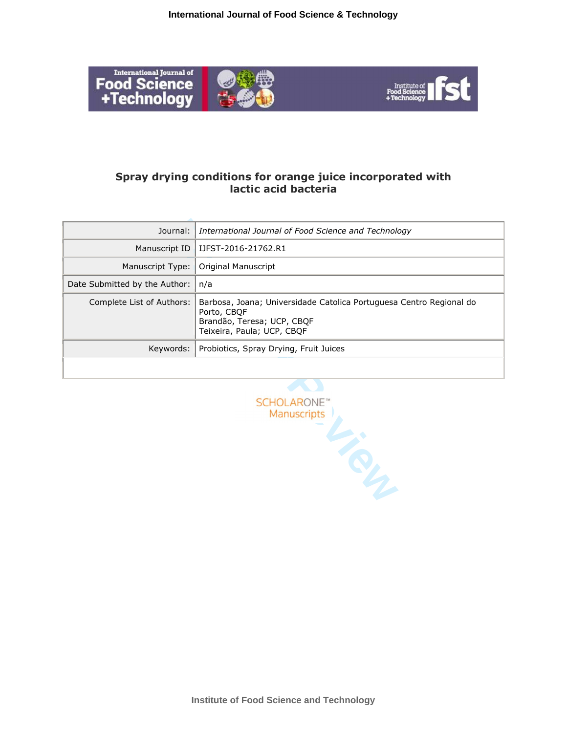

# **Spray drying conditions for orange juice incorporated with lactic acid bacteria**

| Journal:                                                               | International Journal of Food Science and Technology                                                                                           |  |
|------------------------------------------------------------------------|------------------------------------------------------------------------------------------------------------------------------------------------|--|
| Manuscript ID                                                          | IJFST-2016-21762.R1                                                                                                                            |  |
| Manuscript Type:                                                       | <b>Original Manuscript</b>                                                                                                                     |  |
| Date Submitted by the Author:                                          | n/a                                                                                                                                            |  |
| Complete List of Authors:                                              | Barbosa, Joana; Universidade Catolica Portuguesa Centro Regional do<br>Porto, CBQF<br>Brandão, Teresa; UCP, CBQF<br>Teixeira, Paula; UCP, CBQF |  |
| Keywords:                                                              | Probiotics, Spray Drying, Fruit Juices                                                                                                         |  |
|                                                                        |                                                                                                                                                |  |
|                                                                        |                                                                                                                                                |  |
| <b>SCHOLARONE</b> <sup>®</sup><br>Manuscripts<br>$\mathcal{L}_{\odot}$ |                                                                                                                                                |  |
|                                                                        |                                                                                                                                                |  |

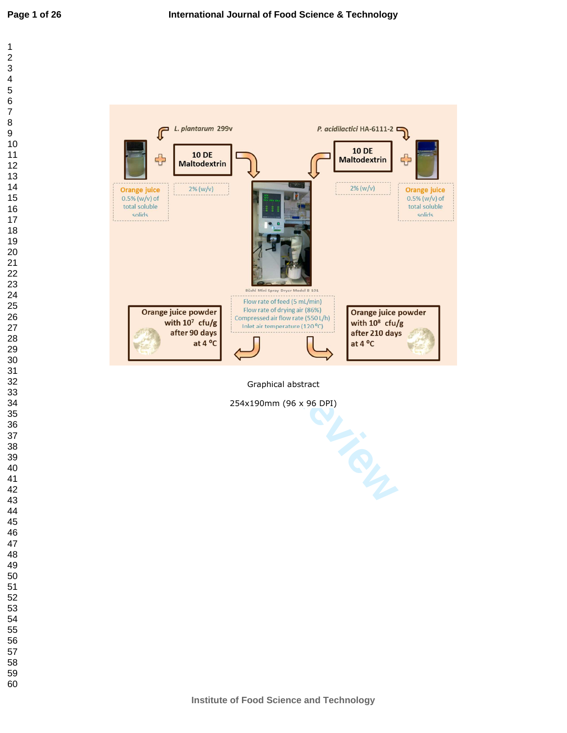



Graphical abstract

254x190mm (96 x 96 DPI)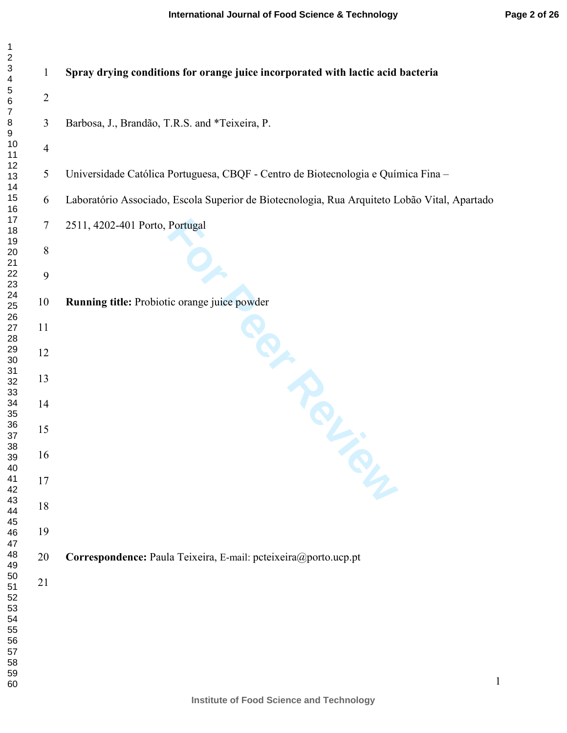| $\mathbf{1}$                                                                    |                |                                                                                              |
|---------------------------------------------------------------------------------|----------------|----------------------------------------------------------------------------------------------|
| $\overline{\mathbf{c}}$<br>$\ensuremath{\mathsf{3}}$<br>$\overline{\mathbf{4}}$ | $\mathbf{1}$   | Spray drying conditions for orange juice incorporated with lactic acid bacteria              |
| $\mathbf 5$<br>$\,6\,$<br>$\boldsymbol{7}$                                      | $\sqrt{2}$     |                                                                                              |
| $\bf 8$<br>$\boldsymbol{9}$                                                     | 3              | Barbosa, J., Brandão, T.R.S. and *Teixeira, P.                                               |
| 10<br>11                                                                        | $\overline{4}$ |                                                                                              |
| 12<br>13<br>14                                                                  | $\mathfrak{S}$ | Universidade Católica Portuguesa, CBQF - Centro de Biotecnologia e Química Fina -            |
| 15<br>16                                                                        | 6              | Laboratório Associado, Escola Superior de Biotecnologia, Rua Arquiteto Lobão Vital, Apartado |
| 17<br>18<br>19                                                                  | 7              | 2511, 4202-401 Porto, Portugal                                                               |
| 20<br>21                                                                        | $8\,$          |                                                                                              |
| 22<br>23                                                                        | 9              |                                                                                              |
| 24<br>25<br>$26\,$                                                              | 10             | Running title: Probiotic orange juice powder                                                 |
| $27\,$<br>28                                                                    | 11             |                                                                                              |
| 29<br>$30\,$<br>31                                                              | 12             |                                                                                              |
| 32<br>33                                                                        | 13             |                                                                                              |
| 34<br>35<br>36                                                                  | 14             |                                                                                              |
| 37<br>38                                                                        | 15             | IN ROL                                                                                       |
| 39<br>40                                                                        | 16             |                                                                                              |
| 41<br>42<br>43                                                                  | 17             |                                                                                              |
| 44<br>45                                                                        | 18             |                                                                                              |
| 46<br>47<br>48                                                                  | 19<br>20       |                                                                                              |
| 49<br>50                                                                        |                | Correspondence: Paula Teixeira, E-mail: pcteixeira@porto.ucp.pt                              |
| 51<br>52<br>53<br>54<br>55<br>56<br>57<br>58<br>59<br>60                        | 21             |                                                                                              |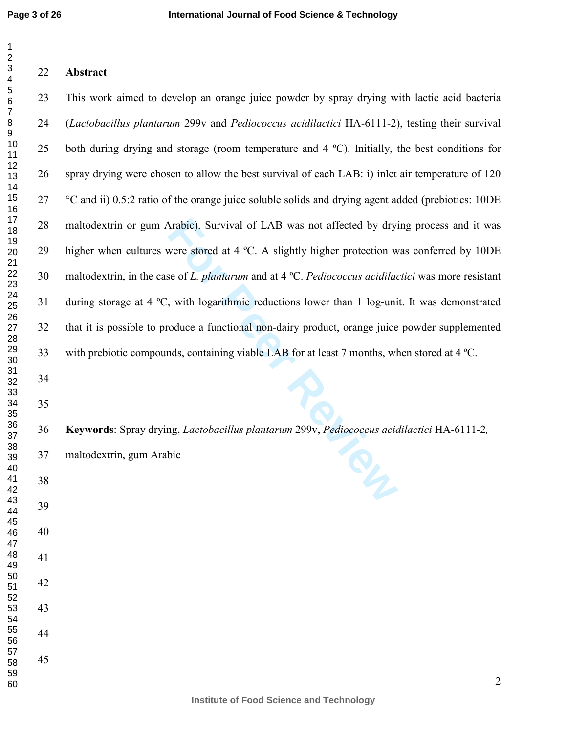# **Abstract**

Arabic). Survival of LAB was not affected by dryi<br>were stored at 4 °C. A slightly higher protection w<br>se of *L. plantarum* and at 4 °C. *Pediococcus acidilac*,<br>with logarithmic reductions lower than 1 log-uni<br>oduce a funct 23 This work aimed to develop an orange juice powder by spray drying with lactic acid bacteria (*Lactobacillus plantarum* 299v and *Pediococcus acidilactici* HA-6111-2), testing their survival 25 both during drying and storage (room temperature and 4 ºC). Initially, the best conditions for 26 spray drying were chosen to allow the best survival of each LAB: i) inlet air temperature of 120 27 °C and ii) 0.5:2 ratio of the orange juice soluble solids and drying agent added (prebiotics: 10DE 28 maltodextrin or gum Arabic). Survival of LAB was not affected by drying process and it was 29 higher when cultures were stored at 4 ºC. A slightly higher protection was conferred by 10DE 30 maltodextrin, in the case of *L. plantarum* and at 4 ºC. *Pediococcus acidilactici* was more resistant 31 during storage at 4 ºC, with logarithmic reductions lower than 1 log-unit. It was demonstrated 32 that it is possible to produce a functional non-dairy product, orange juice powder supplemented 33 with prebiotic compounds, containing viable LAB for at least 7 months, when stored at 4 ºC. 

**Keywords**: Spray drying, *Lactobacillus plantarum* 299v, *Pediococcus acidilactici* HA-6111-2 *,*

37 maltodextrin, gum Arabic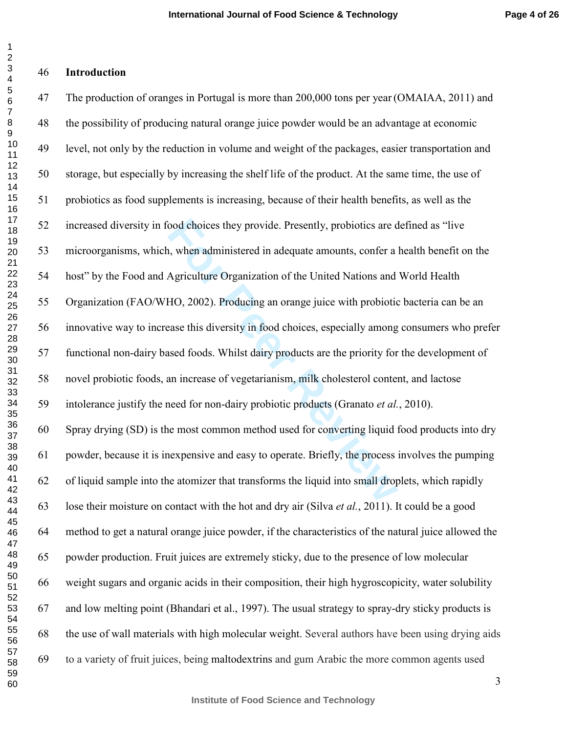#### $\overline{2}$  $\overline{\mathbf{4}}$  $\overline{7}$

 $\mathbf{1}$ 

## **Introduction**

food choices they provide. Presently, probiotics are d<br>n, when administered in adequate amounts, confer a<br>Agriculture Organization of the United Nations and<br>HO, 2002). Producing an orange juice with probiotic<br>case this div 47 The production of oranges in Portugal is more than 200,000 tons per year (OMAIAA, 2011) and 48 the possibility of producing natural orange juice powder would be an advantage at economic 49 level, not only by the reduction in volume and weight of the packages, easier transportation and 50 storage, but especially by increasing the shelf life of the product. At the same time, the use of 51 probiotics as food supplements is increasing, because of their health benefits, as well as the 52 increased diversity in food choices they provide. Presently, probiotics are defined as "live 53 microorganisms, which, when administered in adequate amounts, confer a health benefit on the 54 host" by the Food and Agriculture Organization of the United Nations and World Health 55 Organization (FAO/WHO, 2002). Producing an orange juice with probiotic bacteria can be an 56 innovative way to increase this diversity in food choices, especially among consumers who prefer 57 functional non-dairy based foods. Whilst dairy products are the priority for the development of 58 novel probiotic foods, an increase of vegetarianism, milk cholesterol content, and lactose 59 intolerance justify the need for non-dairy probiotic products (Granato *et al.*, 2010). 60 Spray drying (SD) is the most common method used for converting liquid food products into dry 61 powder, because it is inexpensive and easy to operate. Briefly, the process involves the pumping 62 of liquid sample into the atomizer that transforms the liquid into small droplets, which rapidly 63 lose their moisture on contact with the hot and dry air (Silva *et al.*, 2011). It could be a good 64 method to get a natural orange juice powder, if the characteristics of the natural juice allowed the 65 powder production. Fruit juices are extremely sticky, due to the presence of low molecular 66 weight sugars and organic acids in their composition, their high hygroscopicity, water solubility 67 and low melting point (Bhandari et al., 1997). The usual strategy to spray-dry sticky products is 68 the use of wall materials with high molecular weight. Several authors have been using drying aids 69 to a variety of fruit juices, being maltodextrins and gum Arabic the more common agents used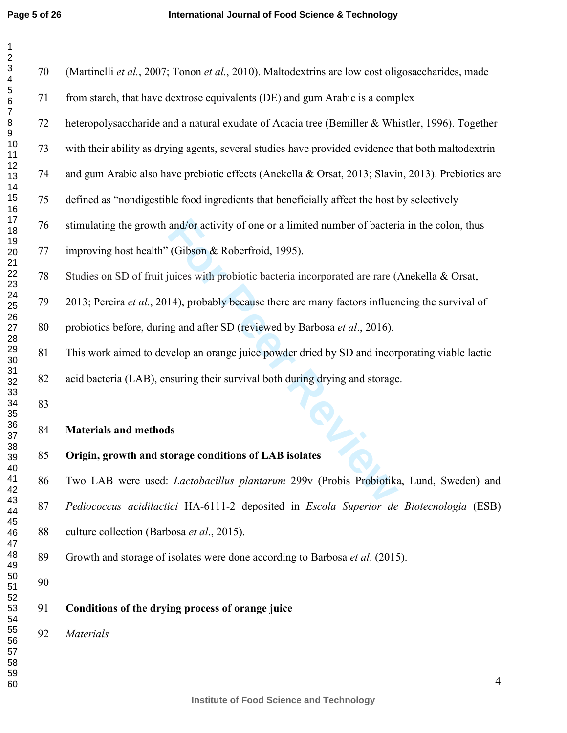| 1                                   |
|-------------------------------------|
|                                     |
| 23456                               |
|                                     |
|                                     |
|                                     |
|                                     |
|                                     |
|                                     |
|                                     |
|                                     |
|                                     |
|                                     |
|                                     |
|                                     |
|                                     |
|                                     |
|                                     |
| ) 789111111111122222222223333333333 |
|                                     |
|                                     |
|                                     |
|                                     |
|                                     |
|                                     |
|                                     |
|                                     |
|                                     |
|                                     |
|                                     |
|                                     |
|                                     |
|                                     |
|                                     |
|                                     |
|                                     |
|                                     |
|                                     |
|                                     |
|                                     |
|                                     |
| 。<br>39                             |
| 40                                  |
| 41                                  |
| 42                                  |
| 43                                  |
| 44                                  |
|                                     |
| 45                                  |
| 46                                  |
| 47                                  |
| 48                                  |
| 49                                  |
| 50                                  |
| 5<br>1                              |
| 5,<br>2                             |
| 53<br>s                             |
| 54                                  |
| 55                                  |
|                                     |
| 56                                  |
| ۔<br>57<br>58                       |
| ś                                   |
| 59                                  |
| 60                                  |

| 70 | (Martinelli et al., 2007; Tonon et al., 2010). Maltodextrins are low cost oligosaccharides, made   |
|----|----------------------------------------------------------------------------------------------------|
| 71 | from starch, that have dextrose equivalents (DE) and gum Arabic is a complex                       |
| 72 | heteropolysaccharide and a natural exudate of Acacia tree (Bemiller & Whistler, 1996). Together    |
| 73 | with their ability as drying agents, several studies have provided evidence that both maltodextrin |
| 74 | and gum Arabic also have prebiotic effects (Anekella & Orsat, 2013; Slavin, 2013). Prebiotics are  |
| 75 | defined as "nondigestible food ingredients that beneficially affect the host by selectively        |
| 76 | stimulating the growth and/or activity of one or a limited number of bacteria in the colon, thus   |
| 77 | improving host health" (Gibson & Roberfroid, 1995).                                                |
| 78 | Studies on SD of fruit juices with probiotic bacteria incorporated are rare (Anekella & Orsat,     |
| 79 | 2013; Pereira et al., 2014), probably because there are many factors influencing the survival of   |
| 80 | probiotics before, during and after SD (reviewed by Barbosa et al., 2016).                         |
| 81 | This work aimed to develop an orange juice powder dried by SD and incorporating viable lactic      |
| 82 | acid bacteria (LAB), ensuring their survival both during drying and storage.                       |
| 83 |                                                                                                    |
| 84 | <b>Materials and methods</b>                                                                       |
| 85 | Origin, growth and storage conditions of LAB isolates                                              |
| 86 | Two LAB were used: <i>Lactobacillus plantarum</i> 299v (Probis Probiotika, Lund, Sweden) and       |
| 87 | Pediococcus acidilactici HA-6111-2 deposited in Escola Superior de Biotecnologia (ESB)             |
| 88 | culture collection (Barbosa et al., 2015).                                                         |
| 89 | Growth and storage of isolates were done according to Barbosa <i>et al.</i> (2015).                |
| 90 |                                                                                                    |
| 91 | Conditions of the drying process of orange juice                                                   |
| 92 | <b>Materials</b>                                                                                   |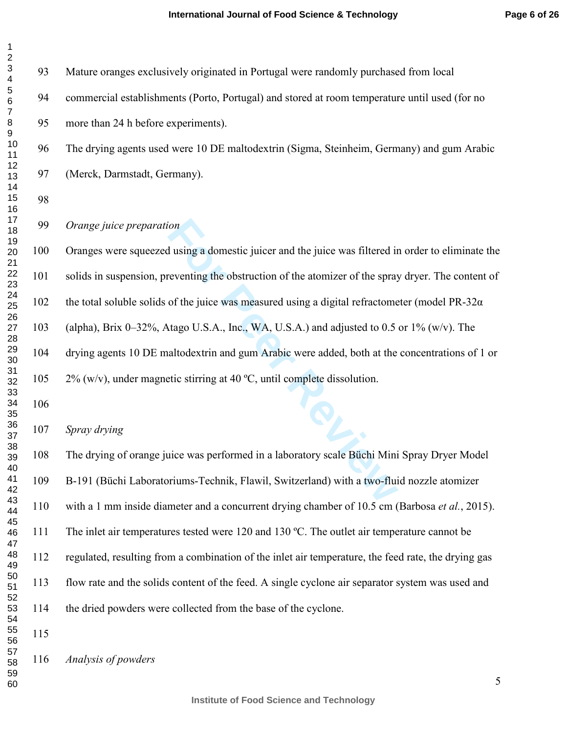| 1                                            |  |
|----------------------------------------------|--|
| 2                                            |  |
|                                              |  |
|                                              |  |
|                                              |  |
|                                              |  |
|                                              |  |
|                                              |  |
|                                              |  |
|                                              |  |
|                                              |  |
|                                              |  |
|                                              |  |
|                                              |  |
|                                              |  |
|                                              |  |
|                                              |  |
|                                              |  |
|                                              |  |
|                                              |  |
|                                              |  |
|                                              |  |
|                                              |  |
|                                              |  |
|                                              |  |
|                                              |  |
|                                              |  |
|                                              |  |
|                                              |  |
|                                              |  |
|                                              |  |
|                                              |  |
|                                              |  |
|                                              |  |
|                                              |  |
|                                              |  |
|                                              |  |
|                                              |  |
|                                              |  |
|                                              |  |
| 32<br>33<br>34<br>35<br>36<br>37<br>38<br>39 |  |
|                                              |  |
|                                              |  |
|                                              |  |
| 40                                           |  |
| 41                                           |  |
| 42                                           |  |
| 43<br>3                                      |  |
| 44                                           |  |
|                                              |  |
| 45                                           |  |
| 46                                           |  |
| 47                                           |  |
| 48                                           |  |
| 49                                           |  |
| 50                                           |  |
|                                              |  |
| 51<br>52                                     |  |
|                                              |  |
| 53                                           |  |
| 54                                           |  |
| 55                                           |  |
| 56<br>ì                                      |  |
| 57                                           |  |
| 58                                           |  |
| 59                                           |  |
|                                              |  |
| 60                                           |  |

| 93. | Mature oranges exclusively originated in Portugal were randomly purchased from local          |
|-----|-----------------------------------------------------------------------------------------------|
| 94  | commercial establishments (Porto, Portugal) and stored at room temperature until used (for no |
| 95. | more than 24 h before experiments).                                                           |
| 96  | The drying agents used were 10 DE maltodextrin (Sigma, Steinheim, Germany) and gum Arabic     |
|     |                                                                                               |

*Orange juice preparation* 

97 (Merck, Darmstadt, Germany).

For all using a domestic juicer and the juice was filtered in<br>
Freventing the obstruction of the atomizer of the spray<br>
of the juice was measured using a digital refractome<br>
tago U.S.A., Inc., WA, U.S.A.) and adjusted to 0 100 Oranges were squeezed using a domestic juicer and the juice was filtered in order to eliminate the 101 solids in suspension, preventing the obstruction of the atomizer of the spray dryer. The content of 102 the total soluble solids of the juice was measured using a digital refractometer (model PR-32 $\alpha$ ) 103 (alpha), Brix 0–32%, Atago U.S.A., Inc., WA, U.S.A.) and adjusted to 0.5 or 1% (w/v). The 104 drying agents 10 DE maltodextrin and gum Arabic were added, both at the concentrations of 1 or 105 2% (w/v), under magnetic stirring at 40 °C, until complete dissolution.

*Spray drying* 

108 The drying of orange juice was performed in a laboratory scale Büchi Mini Spray Dryer Model 109 B-191 (Büchi Laboratoriums-Technik, Flawil, Switzerland) with a two-fluid nozzle atomizer 110 with a 1 mm inside diameter and a concurrent drying chamber of 10.5 cm (Barbosa *et al.*, 2015). 111 The inlet air temperatures tested were 120 and 130 °C. The outlet air temperature cannot be 112 regulated, resulting from a combination of the inlet air temperature, the feed rate, the drying gas 113 flow rate and the solids content of the feed. A single cyclone air separator system was used and 114 the dried powders were collected from the base of the cyclone.

*Analysis of powders*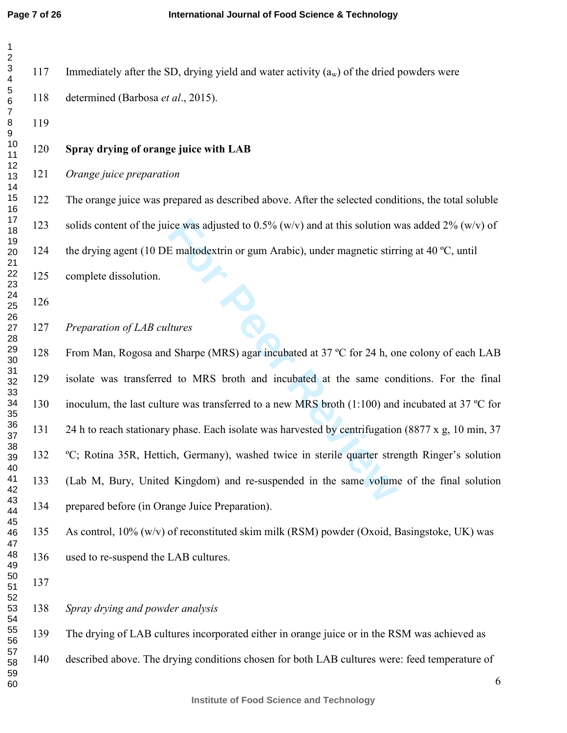$\overline{1}$ 

| 1                                                                  |   |
|--------------------------------------------------------------------|---|
| $\overline{c}$<br>د 3 4 5 6 7 8 9 10 11 12 13 14 15 16 7 8 9 20 12 |   |
|                                                                    |   |
|                                                                    |   |
|                                                                    |   |
|                                                                    |   |
|                                                                    |   |
|                                                                    |   |
|                                                                    |   |
|                                                                    |   |
| 22345678901123334567839                                            |   |
|                                                                    |   |
|                                                                    |   |
|                                                                    |   |
|                                                                    |   |
|                                                                    |   |
|                                                                    | l |
| 40<br>41<br>42                                                     |   |
| 43<br>44                                                           |   |
| 45<br>46                                                           |   |
| 47<br>48<br>49                                                     |   |
| 50<br>51                                                           |   |
| 52<br>53                                                           |   |
| 54<br>55<br>56                                                     |   |
| 57<br>58                                                           |   |
| 59<br>60                                                           |   |

ice was adjusted to 0.5% (w/v) and at this solution w<br>
E maltodextrin or gum Arabic), under magnetic stirr<br> *Hures*<br> **Homogen COMPAS and interpret at 37 °C** for 24 h, or<br>
d to MRS broth and incubated at the same cor<br>
ure w 117 Immediately after the SD, drying yield and water activity  $(a_w)$  of the dried powders were 118 determined (Barbosa *et al*., 2015). **Spray drying of orange juice with LAB**  *Orange juice preparation* 122 The orange juice was prepared as described above. After the selected conditions, the total soluble 123 solids content of the juice was adjusted to  $0.5\%$  (w/v) and at this solution was added 2% (w/v) of 124 the drying agent (10 DE maltodextrin or gum Arabic), under magnetic stirring at 40 °C, until 125 complete dissolution. *Preparation of LAB cultures* 128 From Man, Rogosa and Sharpe (MRS) agar incubated at 37 °C for 24 h, one colony of each LAB 129 isolate was transferred to MRS broth and incubated at the same conditions. For the final 130 inoculum, the last culture was transferred to a new MRS broth (1:100) and incubated at 37 °C for 131 24 h to reach stationary phase. Each isolate was harvested by centrifugation (8877 x g, 10 min, 37 132 °C; Rotina 35R, Hettich, Germany), washed twice in sterile quarter strength Ringer's solution 133 (Lab M, Bury, United Kingdom) and re-suspended in the same volume of the final solution 134 prepared before (in Orange Juice Preparation). 135 As control,  $10\%$  (w/v) of reconstituted skim milk (RSM) powder (Oxoid, Basingstoke, UK) was 136 used to re-suspend the LAB cultures. *Spray drying and powder analysis* 139 The drying of LAB cultures incorporated either in orange juice or in the RSM was achieved as 140 described above. The drying conditions chosen for both LAB cultures were: feed temperature of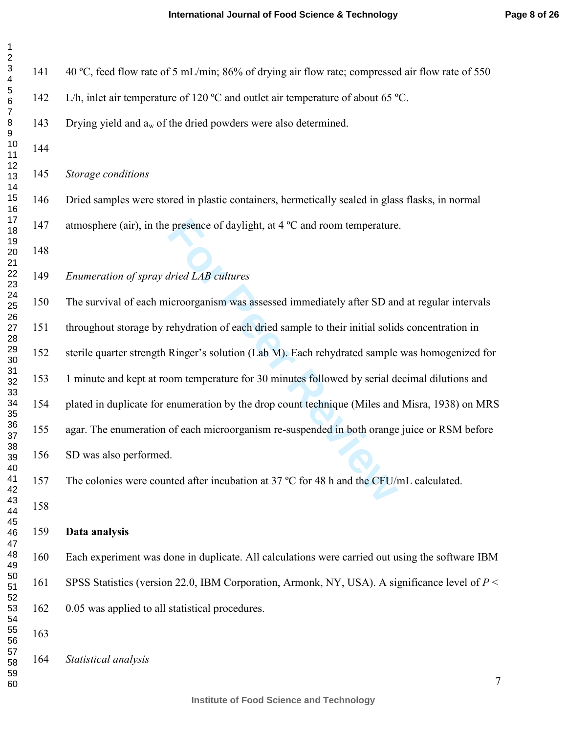| 141        | 40 °C, feed flow rate of 5 mL/min; 86% of drying air flow rate; compressed air flow rate of 550    |
|------------|----------------------------------------------------------------------------------------------------|
| 142        | L/h, inlet air temperature of 120 °C and outlet air temperature of about 65 °C.                    |
| 143        | Drying yield and $a_w$ of the dried powders were also determined.                                  |
| 144        |                                                                                                    |
| 145        | Storage conditions                                                                                 |
| 146        | Dried samples were stored in plastic containers, hermetically sealed in glass flasks, in normal    |
| 147<br>148 | atmosphere (air), in the presence of daylight, at $4^{\circ}$ C and room temperature.              |
| 149        | Enumeration of spray dried LAB cultures                                                            |
| 150        | The survival of each microorganism was assessed immediately after SD and at regular intervals      |
| 151        | throughout storage by rehydration of each dried sample to their initial solids concentration in    |
| 152        | sterile quarter strength Ringer's solution (Lab M). Each rehydrated sample was homogenized for     |
| 153        | 1 minute and kept at room temperature for 30 minutes followed by serial decimal dilutions and      |
| 154        | plated in duplicate for enumeration by the drop count technique (Miles and Misra, 1938) on MRS     |
| 155        | agar. The enumeration of each microorganism re-suspended in both orange juice or RSM before        |
| 156        | SD was also performed.                                                                             |
| 157        | The colonies were counted after incubation at 37 °C for 48 h and the CFU/mL calculated.            |
| 158        |                                                                                                    |
| 159        | Data analysis                                                                                      |
| 160        | Each experiment was done in duplicate. All calculations were carried out using the software IBM    |
| 161        | SPSS Statistics (version 22.0, IBM Corporation, Armonk, NY, USA). A significance level of $P \leq$ |
| 162        | 0.05 was applied to all statistical procedures.                                                    |
| 163        |                                                                                                    |
| 164        | Statistical analysis                                                                               |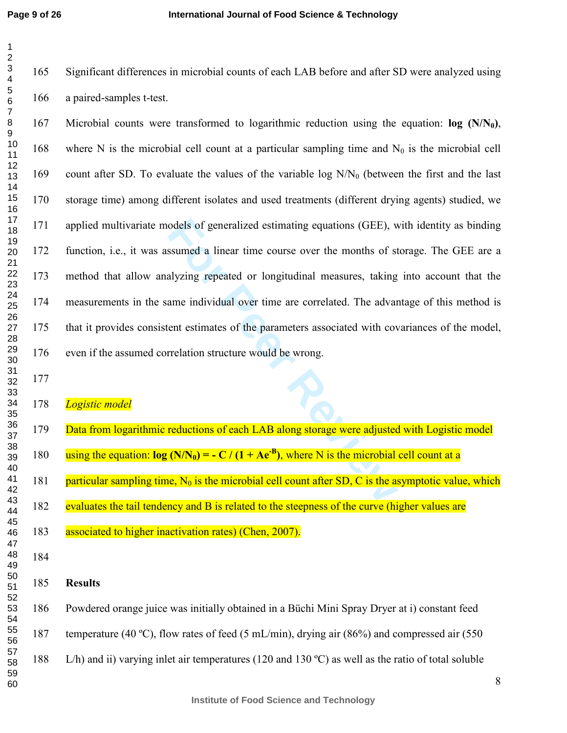**Page 9 of 26**

165 Significant differences in microbial counts of each LAB before and after SD were analyzed using 166 a paired-samples t-test.

odels of generalized estimating equations (GEE), w<br>ssumed a linear time course over the months of st<br>alyzing repeated or longitudinal measures, taking<br>ame individual over time are correlated. The advar<br>ent estimates of th 167 Microbial counts were transformed to logarithmic reduction using the equation: **log (N/N 0 )**, 168 where N is the microbial cell count at a particular sampling time and  $N_0$  is the microbial cell 169 count after SD. To evaluate the values of the variable  $log N/N_0$  (between the first and the last 170 storage time) among different isolates and used treatments (different drying agents) studied, we 171 applied multivariate models of generalized estimating equations (GEE), with identity as binding 172 function, i.e., it was assumed a linear time course over the months of storage. The GEE are a 173 method that allow analyzing repeated or longitudinal measures, taking into account that the 174 measurements in the same individual over time are correlated. The advantage of this method is 175 that it provides consistent estimates of the parameters associated with covariances of the model, 176 even if the assumed correlation structure would be wrong.

### *Logistic model*

- 179 Data from logarithmic reductions of each LAB along storage were adjusted with Logistic model 180 **using the equation:**  $\log(N/N_0) = -C/(1 + Ae^{-B})$ **, where N is the microbial cell count at a** 181 particular sampling time,  $N_0$  is the microbial cell count after SD, C is the asymptotic value, which 182 evaluates the tail tendency and B is related to the steepness of the curve (higher values are 183 associated to higher inactivation rates) (Chen, 2007).
- - **Results**

186 Powdered orange juice was initially obtained in a Büchi Mini Spray Dryer at i) constant feed 187 temperature (40 ºC), flow rates of feed (5 mL/min), drying air (86%) and compressed air (550 188 L/h) and ii) varying inlet air temperatures (120 and 130 ºC) as well as the ratio of total soluble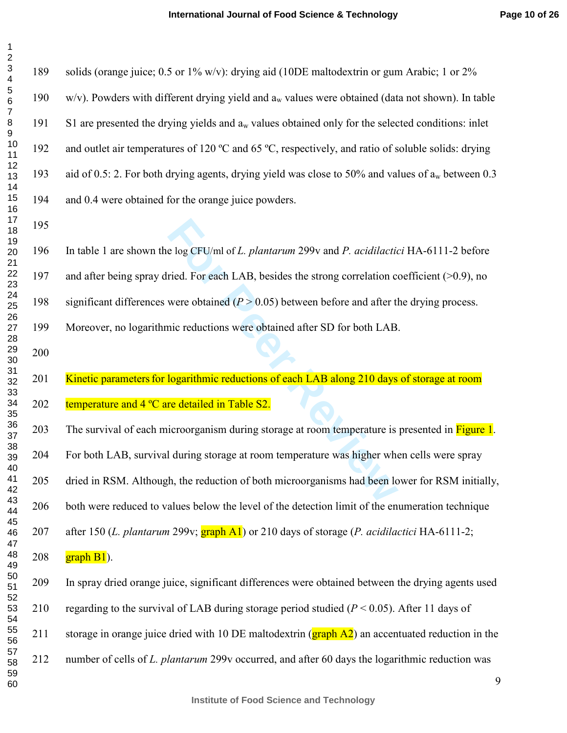**For EXECU/ml of L. plantarum 299v and P. acidilaction**<br> **For each LAB, besides the strong correlation covere obtained (** $P > 0.05$ **) between before and after the reductions were obtained after SD for both LAB<br>
<b>Integration** 189 solids (orange juice; 0.5 or 1% w/v): drying aid (10DE maltodextrin or gum Arabic; 1 or 2% 190 w/v). Powders with different drying yield and  $a_w$  values were obtained (data not shown). In table 191 S1 are presented the drying yields and a <sup>w</sup> values obtained only for the selected conditions: inlet 192 and outlet air temperatures of 120 ºC and 65 ºC, respectively, and ratio of soluble solids: drying 193 aid of 0.5: 2. For both drying agents, drying yield was close to 50% and values of  $a_w$  between 0.3 194 and 0.4 were obtained for the orange juice powders. 196 In table 1 are shown the log CFU/ml of *L. plantarum* 299v and *P. acidilactici* HA-6111-2 before 197 and after being spray dried. For each LAB, besides the strong correlation coefficient (>0.9), no 198 significant differences were obtained (*P* > 0.05) between before and after the drying process. 199 Moreover, no logarithmic reductions were obtained after SD for both LAB. 201 Kinetic parameters for logarithmic reductions of each LAB along 210 days of storage at room 202 temperature and  $4^{\circ}$ C are detailed in Table S2. 203 The survival of each microorganism during storage at room temperature is presented in Figure 1. 204 For both LAB, survival during storage at room temperature was higher when cells were spray 205 dried in RSM. Although, the reduction of both microorganisms had been lower for RSM initially, 206 both were reduced to values below the level of the detection limit of the enumeration technique 207 after 150 (*L. plantarum* 299v; graph A1) or 210 days of storage (*P. acidilactici* HA-6111-2; 208  $\frac{graph B1}{}$ . 209 In spray dried orange juice, significant differences were obtained between the drying agents used 210 regarding to the survival of LAB during storage period studied  $(P < 0.05)$ . After 11 days of 211 storage in orange juice dried with 10 DE maltodextrin (**graph A2**) an accentuated reduction in the 212 number of cells of *L. plantarum* 299v occurred, and after 60 days the logarithmic reduction was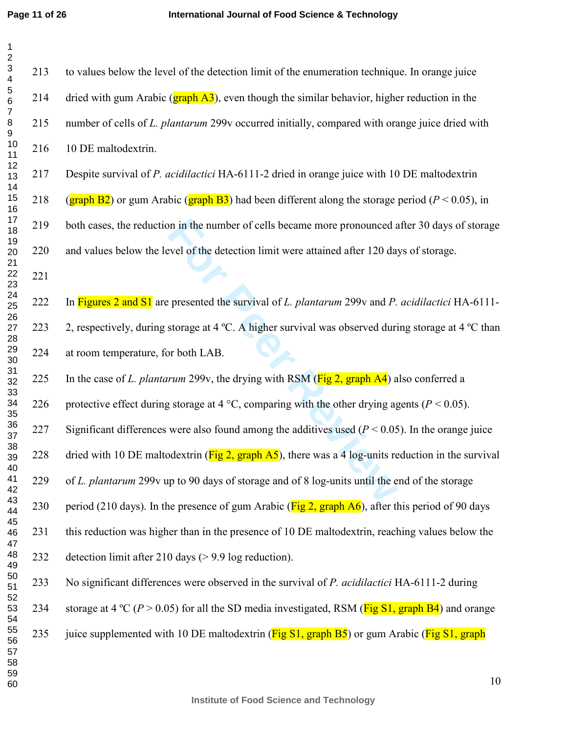213 to values below the level of the detection limit of the enumeration technique. In orange juice

| 1                                   |
|-------------------------------------|
| $\overline{c}$                      |
|                                     |
|                                     |
| 3<br>4<br>5<br>6                    |
|                                     |
|                                     |
| 7                                   |
|                                     |
|                                     |
|                                     |
|                                     |
|                                     |
|                                     |
|                                     |
|                                     |
|                                     |
|                                     |
|                                     |
|                                     |
|                                     |
| 891112134151781920                  |
| 1                                   |
|                                     |
| 1222<br>$23425672829$<br>3222222936 |
|                                     |
|                                     |
|                                     |
|                                     |
|                                     |
|                                     |
|                                     |
|                                     |
|                                     |
|                                     |
|                                     |
| 32<br>33<br>34<br>35<br>36<br>37    |
|                                     |
|                                     |
|                                     |
|                                     |
| 38                                  |
| ٩ğ                                  |
| 40                                  |
| 41                                  |
| 4:                                  |
| 43<br>3                             |
| 44                                  |
| 45                                  |
|                                     |
| 46                                  |
| 47                                  |
| 48                                  |
| 49                                  |
| 50                                  |
| 51                                  |
| -<br>52                             |
| 53                                  |
| 54                                  |
| 55                                  |
| 56                                  |
| ì                                   |
| 57                                  |
| 58                                  |
| 59                                  |

For all the number of cells became more pronounced a<br>
Foreign and the detection limit were attained after 120 day<br>
Foreign at 4 °C. A higher survival was observed during<br>
For presented the survival of *L. plantarum* 299v 214 dried with gum Arabic ( $\frac{graph A3}{}$ ), even though the similar behavior, higher reduction in the 215 number of cells of *L. plantarum* 299v occurred initially, compared with orange juice dried with 216 10 DE maltodextrin. 217 Despite survival of *P. acidilactici* HA-6111-2 dried in orange juice with 10 DE maltodextrin 218 (graph B2) or gum Arabic (graph B3) had been different along the storage period ( $P < 0.05$ ), in 219 both cases, the reduction in the number of cells became more pronounced after 30 days of storage 220 and values below the level of the detection limit were attained after 120 days of storage. 222 In Figures 2 and S1 are presented the survival of *L. plantarum* 299v and *P. acidilactici* HA-6111- 223 2, respectively, during storage at 4 °C. A higher survival was observed during storage at 4 °C than 224 at room temperature, for both LAB. 225 In the case of *L. plantarum* 299v, the drying with RSM (Fig 2, graph A4) also conferred a 226 protective effect during storage at 4  $^{\circ}$ C, comparing with the other drying agents ( $P < 0.05$ ). 227 Significant differences were also found among the additives used (*P* < 0.05). In the orange juice 228 dried with 10 DE maltodextrin ( $\frac{Fig 2, graph A5}{2}$ ), there was a 4 log-units reduction in the survival 229 of *L. plantarum* 299v up to 90 days of storage and of 8 log-units until the end of the storage 230 period (210 days). In the presence of gum Arabic ( $\overline{Fig 2, graph A6}$ ), after this period of 90 days 231 this reduction was higher than in the presence of 10 DE maltodextrin, reaching values below the 232 detection limit after 210 days (> 9.9 log reduction). 233 No significant differences were observed in the survival of *P. acidilactici* HA-6111-2 during 234 storage at 4 °C ( $P > 0.05$ ) for all the SD media investigated, RSM ( $\overline{Fig S1, graph B4}$ ) and orange

235 juice supplemented with 10 DE maltodextrin ( $\overline{Fig S1, graph B5}$ ) or gum Arabic ( $\overline{Fig S1, graph}$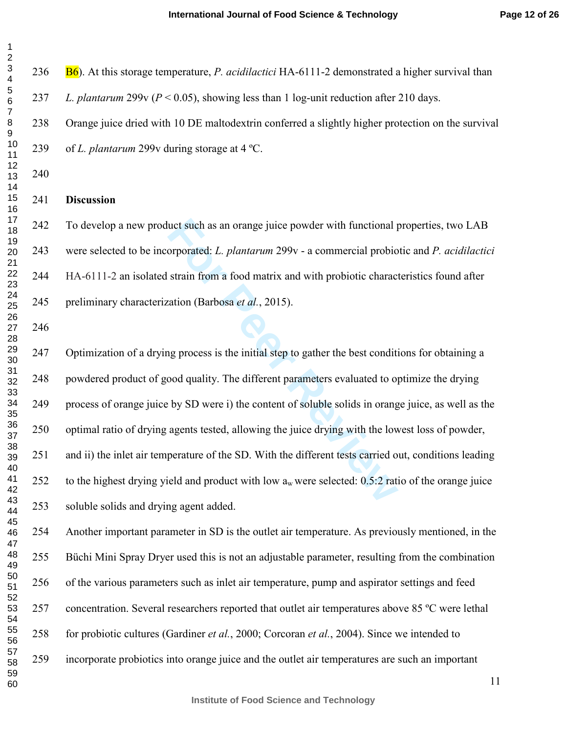act such as an orange juice powder with functional porporated: *L. plantarum* 299v - a commercial probio strain from a food matrix and with probiotic characteristical probiotic strain from a food matrix and with probiotic 236 B6). At this storage temperature, *P. acidilactici* HA-6111-2 demonstrated a higher survival than *L. plantarum* 299v (*P* < 0.05), showing less than 1 log-unit reduction after 210 days. 238 Orange juice dried with 10 DE maltodextrin conferred a slightly higher protection on the survival 239 of *L. plantarum* 299v during storage at 4 ºC. **Discussion**  242 To develop a new product such as an orange juice powder with functional properties, two LAB 243 were selected to be incorporated: *L. plantarum* 299v - a commercial probiotic and *P. acidilactici* 244 HA-6111-2 an isolated strain from a food matrix and with probiotic characteristics found after 245 preliminary characterization (Barbosa *et al.*, 2015). 247 Optimization of a drying process is the initial step to gather the best conditions for obtaining a 248 powdered product of good quality. The different parameters evaluated to optimize the drying 249 process of orange juice by SD were i) the content of soluble solids in orange juice, as well as the 250 optimal ratio of drying agents tested, allowing the juice drying with the lowest loss of powder, 251 and ii) the inlet air temperature of the SD. With the different tests carried out, conditions leading 252 to the highest drying yield and product with low  $a_w$  were selected: 0.5:2 ratio of the orange juice 253 soluble solids and drying agent added. 254 Another important parameter in SD is the outlet air temperature. As previously mentioned, in the 255 Büchi Mini Spray Dryer used this is not an adjustable parameter, resulting from the combination 256 of the various parameters such as inlet air temperature, pump and aspirator settings and feed 257 concentration. Several researchers reported that outlet air temperatures above 85 ºC were lethal 258 for probiotic cultures (Gardiner *et al.*, 2000; Corcoran *et al.*, 2004). Since we intended to 259 incorporate probiotics into orange juice and the outlet air temperatures are such an important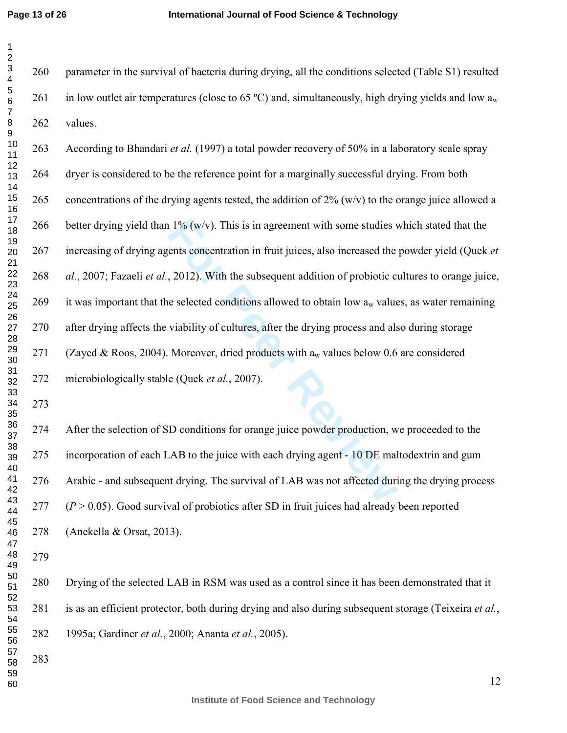#### **International Journal of Food Science & Technology**

260 parameter in the survival of bacteria during drying, all the conditions selected (Table S1) resulted 261 in low outlet air temperatures (close to 65 °C) and, simultaneously, high drying yields and low  $a_w$ 262 values.

1% (w/v). This is in agreement with some studies v<br>ents concentration in fruit juices, also increased the<br>2012). With the subsequent addition of probiotic cu<br>e selected conditions allowed to obtain low  $a_w$  value<br>viabilit 263 According to Bhandari *et al.* (1997) a total powder recovery of 50% in a laboratory scale spray 264 dryer is considered to be the reference point for a marginally successful drying. From both 265 concentrations of the drying agents tested, the addition of  $2\%$  (w/v) to the orange juice allowed a 266 better drying yield than  $1\%$  (w/v). This is in agreement with some studies which stated that the 267 increasing of drying agents concentration in fruit juices, also increased the powder yield (Quek *et al.*, 2007; Fazaeli *et al.*, 2012). With the subsequent addition of probiotic cultures to orange juice, 269 it was important that the selected conditions allowed to obtain low  $a_w$  values, as water remaining 270 after drying affects the viability of cultures, after the drying process and also during storage 271 (Zayed & Roos, 2004). Moreover, dried products with  $a_w$  values below 0.6 are considered 272 microbiologically stable (Quek *et al.*, 2007).

274 After the selection of SD conditions for orange juice powder production, we proceeded to the 275 incorporation of each LAB to the juice with each drying agent - 10 DE maltodextrin and gum 276 Arabic - and subsequent drying. The survival of LAB was not affected during the drying process  $(P > 0.05)$ . Good survival of probiotics after SD in fruit juices had already been reported 278 (Anekella & Orsat, 2013).

280 Drying of the selected LAB in RSM was used as a control since it has been demonstrated that it 281 is as an efficient protector, both during drying and also during subsequent storage (Teixeira *et al.*, 282 1995a; Gardiner *et al.*, 2000; Ananta *et al.*, 2005).

**Institute of Food Science and Technology**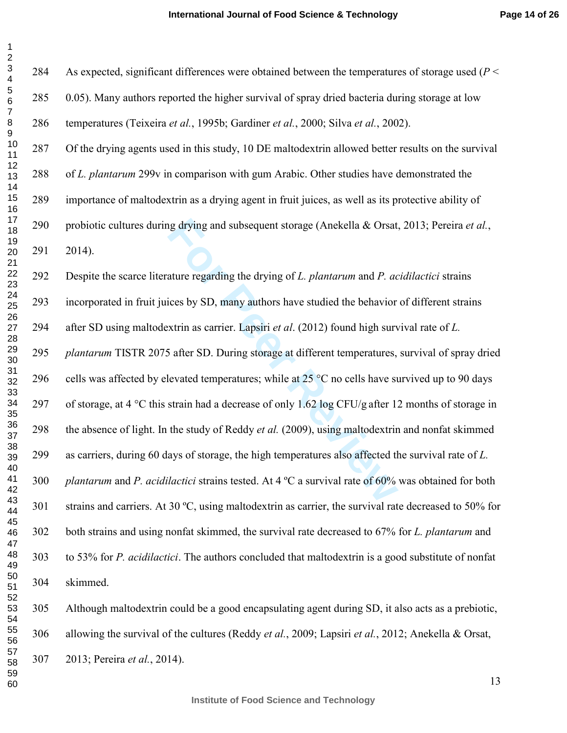| 1                                    |  |
|--------------------------------------|--|
| $\overline{c}$                       |  |
|                                      |  |
|                                      |  |
| $\frac{3}{4}$                        |  |
|                                      |  |
| 6                                    |  |
| 7                                    |  |
|                                      |  |
|                                      |  |
|                                      |  |
| 8910112134151617                     |  |
|                                      |  |
|                                      |  |
|                                      |  |
|                                      |  |
|                                      |  |
|                                      |  |
|                                      |  |
| 18                                   |  |
| ر<br>19                              |  |
| 20                                   |  |
|                                      |  |
| 21<br>22                             |  |
|                                      |  |
|                                      |  |
|                                      |  |
|                                      |  |
| $23$<br>$24$<br>$25$<br>$27$<br>$28$ |  |
|                                      |  |
|                                      |  |
| $^{29}$                              |  |
|                                      |  |
| $\frac{1}{2}$                        |  |
| $\frac{31}{2}$                       |  |
| $\overline{ }$<br>$\frac{3}{2}$      |  |
|                                      |  |
|                                      |  |
|                                      |  |
| 33<br>34<br>35<br>36<br>37           |  |
|                                      |  |
| 38                                   |  |
| -<br>39                              |  |
|                                      |  |
| 40                                   |  |
| 41                                   |  |
| 4                                    |  |
| 43<br>ś                              |  |
| 44                                   |  |
| 45                                   |  |
| 46                                   |  |
| 47                                   |  |
|                                      |  |
| 48                                   |  |
| 49                                   |  |
| 50                                   |  |
| 51                                   |  |
| -<br>52                              |  |
| 53<br>3                              |  |
| 54                                   |  |
| 55                                   |  |
|                                      |  |
| 56<br>ì                              |  |
| 57                                   |  |
| 58                                   |  |
| 59                                   |  |
| 60                                   |  |

 $\overline{1}$ 

ing drying and subsequent storage (Anekella & Orsat,<br>ature regarding the drying of *L. plantarum* and *P. ac*<br>ices by SD, many authors have studied the behavior<br>xtrin as carrier. Lapsiri *et al.* (2012) found high surv<br>5 284 As expected, significant differences were obtained between the temperatures of storage used (*P* < 285 0.05). Many authors reported the higher survival of spray dried bacteria during storage at low 286 temperatures (Teixeira *et al.*, 1995b; Gardiner *et al.*, 2000; Silva *et al.*, 2002). 287 Of the drying agents used in this study, 10 DE maltodextrin allowed better results on the survival 288 of *L. plantarum* 299v in comparison with gum Arabic. Other studies have demonstrated the 289 importance of maltodextrin as a drying agent in fruit juices, as well as its protective ability of 290 probiotic cultures during drying and subsequent storage (Anekella & Orsat, 2013; Pereira *et al.*, 291 2014). 292 Despite the scarce literature regarding the drying of *L. plantarum* and *P. acidilactici* strains 293 incorporated in fruit juices by SD, many authors have studied the behavior of different strains 294 after SD using maltodextrin as carrier. Lapsiri *et al*. (2012) found high survival rate of *L. plantarum* TISTR 2075 after SD. During storage at different temperatures, survival of spray dried 296 cells was affected by elevated temperatures; while at  $25^{\circ}$ C no cells have survived up to 90 days 297 of storage, at 4  $\degree$ C this strain had a decrease of only 1.62 log CFU/g after 12 months of storage in 298 the absence of light. In the study of Reddy *et al.* (2009), using maltodextrin and nonfat skimmed 299 as carriers, during 60 days of storage, the high temperatures also affected the survival rate of *L. plantarum* and *P. acidilactici* strains tested. At 4 ºC a survival rate of 60% was obtained for both 301 strains and carriers. At 30 ºC, using maltodextrin as carrier, the survival rate decreased to 50% for 302 both strains and using nonfat skimmed, the survival rate decreased to 67% for *L. plantarum* and 303 to 53% for *P. acidilactici*. The authors concluded that maltodextrin is a good substitute of nonfat 304 skimmed. 305 Although maltodextrin could be a good encapsulating agent during SD, it also acts as a prebiotic,

306 allowing the survival of the cultures (Reddy *et al.*, 2009; Lapsiri *et al.*, 2012; Anekella & Orsat,

307 2013; Pereira *et al.*, 2014).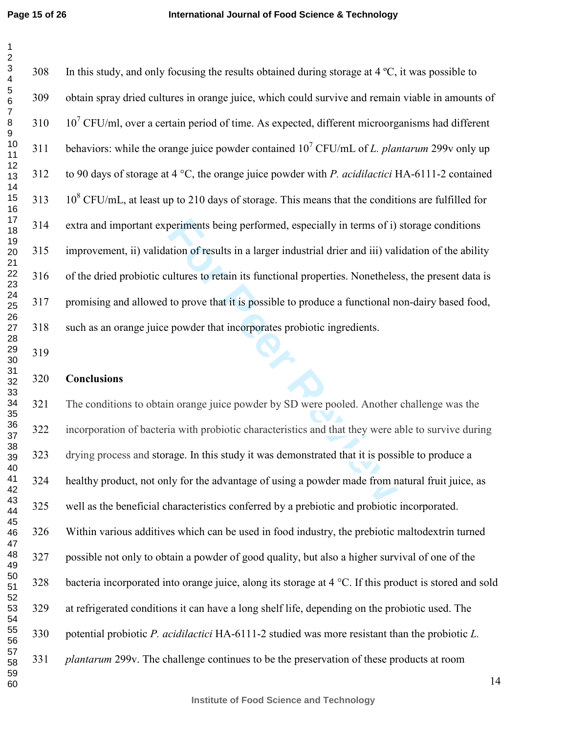periments being performed, especially in terms of i)<br>
ation of results in a larger industrial drier and iii) val<br>
ultures to retain its functional properties. Nonetheles<br>
to prove that it is possible to produce a functiona 308 In this study, and only focusing the results obtained during storage at 4 ºC, it was possible to 309 obtain spray dried cultures in orange juice, which could survive and remain viable in amounts of  $10^7$  CFU/ml, over a certain period of time. As expected, different microorganisms had different 311 behaviors: while the orange juice powder contained  $10^7$  CFU/mL of *L. plantarum* 299v only up 312 to 90 days of storage at 4 °C, the orange juice powder with *P. acidilactici* HA-6111-2 contained 313  $10^8$  CFU/mL, at least up to 210 days of storage. This means that the conditions are fulfilled for 314 extra and important experiments being performed, especially in terms of i) storage conditions 315 improvement, ii) validation of results in a larger industrial drier and iii) validation of the ability 316 of the dried probiotic cultures to retain its functional properties. Nonetheless, the present data is 317 promising and allowed to prove that it is possible to produce a functional non-dairy based food, 318 such as an orange juice powder that incorporates probiotic ingredients. **Conclusions**  321 The conditions to obtain orange juice powder by SD were pooled. Another challenge was the 322 incorporation of bacteria with probiotic characteristics and that they were able to survive during 323 drying process and storage. In this study it was demonstrated that it is possible to produce a 324 healthy product, not only for the advantage of using a powder made from natural fruit juice, as 325 well as the beneficial characteristics conferred by a prebiotic and probiotic incorporated. 326 Within various additives which can be used in food industry, the prebiotic maltodextrin turned 327 possible not only to obtain a powder of good quality, but also a higher survival of one of the 328 bacteria incorporated into orange juice, along its storage at 4 °C. If this product is stored and sold

329 at refrigerated conditions it can have a long shelf life, depending on the probiotic used. The

330 potential probiotic *P. acidilactici* HA-6111-2 studied was more resistant than the probiotic *L.* 

*plantarum* 299v. The challenge continues to be the preservation of these products at room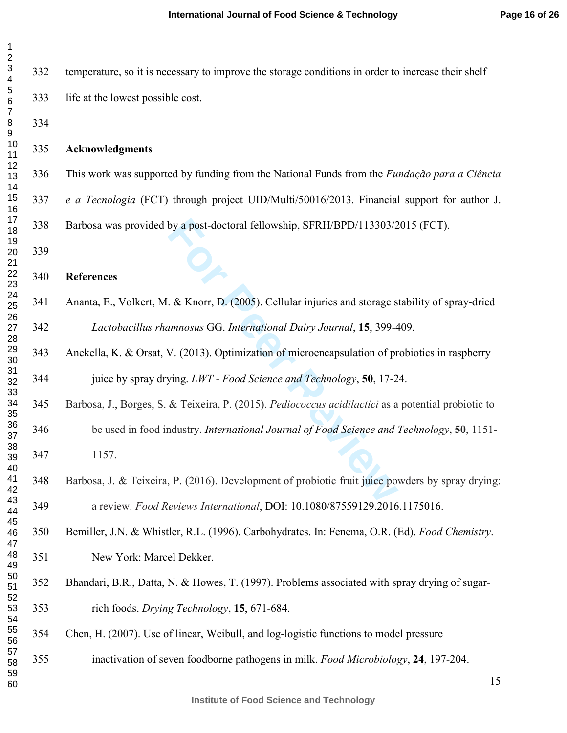| 1<br>$\overline{2}$ |     |
|---------------------|-----|
| 3<br>4              | 332 |
| 5<br>6              | 333 |
| 7<br>8<br>9         | 334 |
| 10<br>11            | 335 |
| 12<br>13<br>14      | 336 |
| 15<br>16            | 337 |
| 17<br>18            | 338 |
| 19<br>20<br>21      | 339 |
| 22<br>23            | 340 |
| 24<br>25            | 341 |
| 26<br>27<br>28      | 342 |
| 29<br>30            | 343 |
| 31<br>32            | 344 |
| 33<br>34<br>35      | 345 |
| 36<br>37            | 346 |
| 38<br>39            | 347 |
| 40<br>41<br>42      | 348 |
| 43<br>44            | 349 |
| 45<br>46<br>47      | 350 |
| 48<br>49            | 351 |
| 50<br>51            | 352 |
| 52<br>53<br>54      | 353 |
| 55<br>56            | 354 |
| 57<br>58            | 355 |
| 59<br>60            |     |

332 temperature, so it is necessary to improve the storage conditions in order to increase their shelf 333 life at the lowest possible cost.

## **Acknowledgments**

336 This work was supported by funding from the National Funds from the *Fundação para a Ciência* 

*e a Tecnologia* (FCT) through project UID/Multi/50016/2013. Financial support for author J.

338 Barbosa was provided by a post-doctoral fellowship, SFRH/BPD/113303/2015 (FCT).

- **References** 
	- 341 Ananta, E., Volkert, M. & Knorr, D. (2005). Cellular injuries and storage stability of spray-dried *Lactobacillus rhamnosus* GG. *International Dairy Journal* , **15**, 399-409.
	- 343 Anekella, K. & Orsat, V. (2013). Optimization of microencapsulation of probiotics in raspberry 344 juice by spray drying. *LWT - Food Science and Technology*, **50**, 17-24.
- by a post-doctoral fellowship, SFRH/BPD/113303/2<br> **Example 2016** & Knorr, D. (2005). Cellular injuries and storage s<br> *Enmosus* GG. *International Dairy Journal*, **15**, 399-4<br>
V. (2013). Optimization of microencapsulation 345 Barbosa, J., Borges, S. & Teixeira, P. (2015). *Pediococcus acidilactici* as a potential probiotic to 346 be used in food industry. *International Journal of Food Science and Technology* , **50**, 1151- 347 1157.
- 348 Barbosa, J. & Teixeira, P. (2016). Development of probiotic fruit juice powders by spray drying: 349 a review. *Food Reviews International*, DOI: 10.1080/87559129.2016.1175016.
- 350 Bemiller, J.N. & Whistler, R.L. (1996). Carbohydrates. In: Fenema, O.R. (Ed). *Food Chemistry*. 351 New York: Marcel Dekker.
- 52 Bhandari, B.R., Datta, N. & Howes, T. (1997). Problems associated with spray drying of sugar-353 rich foods. *Drying Technology*, **15**, 671-684.
- 354 Chen, H. (2007). Use of linear, Weibull, and log-logistic functions to model pressure
	- 355 inactivation of seven foodborne pathogens in milk. *Food Microbiology*, **24**, 197-204.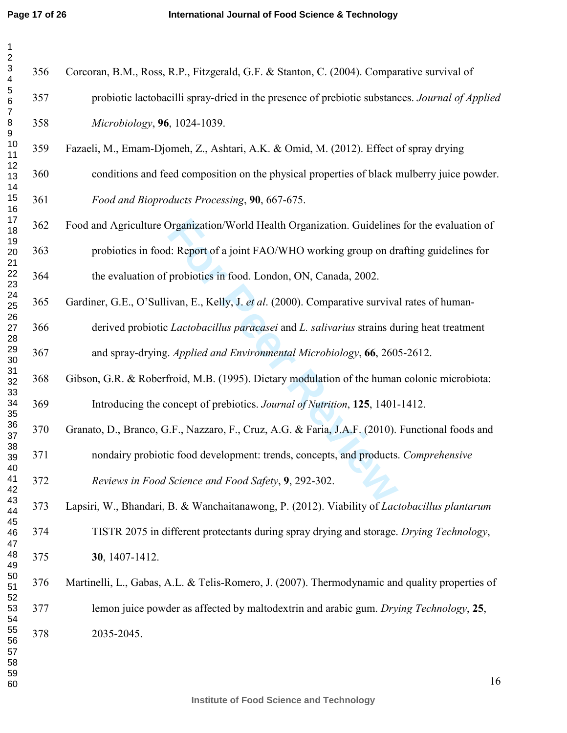| $\mathbf{1}$<br>$\overline{\mathbf{c}}$                 |     |                                                                                                 |
|---------------------------------------------------------|-----|-------------------------------------------------------------------------------------------------|
| $\mathsf 3$<br>4                                        | 356 | Corcoran, B.M., Ross, R.P., Fitzgerald, G.F. & Stanton, C. (2004). Comparative survival of      |
| $\begin{array}{c} 5 \\ 6 \end{array}$<br>$\overline{7}$ | 357 | probiotic lactobacilli spray-dried in the presence of prebiotic substances. Journal of Applied  |
| $\bf8$<br>$\boldsymbol{9}$                              | 358 | Microbiology, 96, 1024-1039.                                                                    |
| 10<br>11                                                | 359 | Fazaeli, M., Emam-Djomeh, Z., Ashtari, A.K. & Omid, M. (2012). Effect of spray drying           |
| 12<br>13<br>14                                          | 360 | conditions and feed composition on the physical properties of black mulberry juice powder.      |
| 15<br>16                                                | 361 | Food and Bioproducts Processing, 90, 667-675.                                                   |
| 17<br>18<br>19                                          | 362 | Food and Agriculture Organization/World Health Organization. Guidelines for the evaluation of   |
| 20<br>21                                                | 363 | probiotics in food: Report of a joint FAO/WHO working group on drafting guidelines for          |
| 22<br>23                                                | 364 | the evaluation of probiotics in food. London, ON, Canada, 2002.                                 |
| 24<br>25<br>26                                          | 365 | Gardiner, G.E., O'Sullivan, E., Kelly, J. et al. (2000). Comparative survival rates of human-   |
| 27<br>28                                                | 366 | derived probiotic Lactobacillus paracasei and L. salivarius strains during heat treatment       |
| 29<br>30                                                | 367 | and spray-drying. Applied and Environmental Microbiology, 66, 2605-2612.                        |
| 31<br>32<br>33                                          | 368 | Gibson, G.R. & Roberfroid, M.B. (1995). Dietary modulation of the human colonic microbiota:     |
| 34<br>35                                                | 369 | Introducing the concept of prebiotics. Journal of Nutrition, 125, 1401-1412.                    |
| 36<br>37<br>38                                          | 370 | Granato, D., Branco, G.F., Nazzaro, F., Cruz, A.G. & Faria, J.A.F. (2010). Functional foods and |
| 39<br>40                                                | 371 | nondairy probiotic food development: trends, concepts, and products. Comprehensive              |
| 41<br>42                                                | 372 | Reviews in Food Science and Food Safety, 9, 292-302.                                            |
| 43<br>44<br>45                                          | 373 | Lapsiri, W., Bhandari, B. & Wanchaitanawong, P. (2012). Viability of Lactobacillus plantarum    |
| 46<br>47                                                | 374 | TISTR 2075 in different protectants during spray drying and storage. Drying Technology,         |
| 48<br>49                                                | 375 | 30, 1407-1412.                                                                                  |
| 50<br>51<br>52                                          | 376 | Martinelli, L., Gabas, A.L. & Telis-Romero, J. (2007). Thermodynamic and quality properties of  |
| 53<br>54                                                | 377 | lemon juice powder as affected by maltodextrin and arabic gum. Drying Technology, 25,           |
| 55<br>56<br>57<br>58<br>59<br>60                        | 378 | 2035-2045.<br>16                                                                                |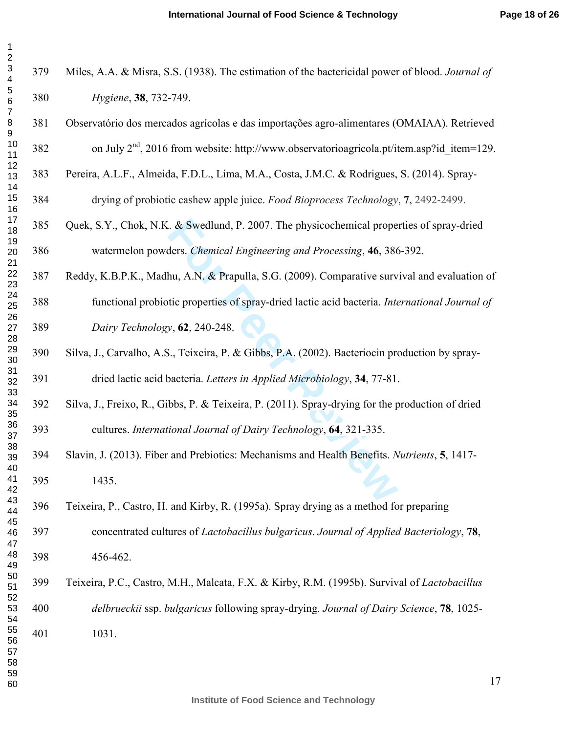| 1<br>2              |                 |
|---------------------|-----------------|
| 3<br>4              | 37 <sup>0</sup> |
| 5<br>6              | 38 <sup>0</sup> |
| 7<br>8              | 38              |
| 9<br>10<br>11       | 38.             |
| 12<br>13            | 38.             |
| 14<br>15            | 38 <sup>4</sup> |
| 16<br>17<br>18      | 38 <sup>2</sup> |
| 19<br>20            | 38 <sub>0</sub> |
| 21<br>22            | 38'             |
| 23<br>24<br>25      | 38 <sup>°</sup> |
| 26<br>27            | 389             |
| 28<br>29            | 39              |
| 30<br>31<br>32      | 39              |
| 33<br>34            | 39              |
| 35<br>36            | 39.             |
| 37<br>38<br>€<br>39 | 394             |
| 40<br>41            | 39:             |
| 42<br>43            | 39 <sub>0</sub> |
| 44<br>45<br>46      | 39              |
| 47<br>48            | 39:             |
| 49<br>50            | 39 <sup>0</sup> |
| 51<br>52<br>53      | 40 <sup>°</sup> |
| 54<br>55            | 40              |
| 56<br>57            |                 |
| 58<br>59<br>60      |                 |

| 379 | Miles, A.A. & Misra, S.S. (1938). The estimation of the bactericidal power of blood. Journal of     |
|-----|-----------------------------------------------------------------------------------------------------|
| 380 | Hygiene, 38, 732-749.                                                                               |
| 381 | Observatório dos mercados agrícolas e das importações agro-alimentares (OMAIAA). Retrieved          |
| 382 | on July $2^{nd}$ , 2016 from website: http://www.observatorioagricola.pt/item.asp?id item=129.      |
| 383 | Pereira, A.L.F., Almeida, F.D.L., Lima, M.A., Costa, J.M.C. & Rodrigues, S. (2014). Spray-          |
| 384 | drying of probiotic cashew apple juice. Food Bioprocess Technology, 7, 2492-2499.                   |
| 385 | Quek, S.Y., Chok, N.K. & Swedlund, P. 2007. The physicochemical properties of spray-dried           |
| 386 | watermelon powders. Chemical Engineering and Processing, 46, 386-392.                               |
| 387 | Reddy, K.B.P.K., Madhu, A.N. & Prapulla, S.G. (2009). Comparative survival and evaluation of        |
| 388 | functional probiotic properties of spray-dried lactic acid bacteria. International Journal of       |
| 389 | Dairy Technology, 62, 240-248.                                                                      |
| 390 | Silva, J., Carvalho, A.S., Teixeira, P. & Gibbs, P.A. (2002). Bacteriocin production by spray-      |
| 391 | dried lactic acid bacteria. Letters in Applied Microbiology, 34, 77-81.                             |
| 392 | Silva, J., Freixo, R., Gibbs, P. & Teixeira, P. (2011). Spray-drying for the production of dried    |
| 393 | cultures. International Journal of Dairy Technology, 64, 321-335.                                   |
| 394 | Slavin, J. (2013). Fiber and Prebiotics: Mechanisms and Health Benefits. Nutrients, 5, 1417-        |
| 395 | 1435.                                                                                               |
| 396 | Teixeira, P., Castro, H. and Kirby, R. (1995a). Spray drying as a method for preparing              |
| 397 | concentrated cultures of Lactobacillus bulgaricus. Journal of Applied Bacteriology, 78,             |
| 398 | 456-462.                                                                                            |
| 399 | Teixeira, P.C., Castro, M.H., Malcata, F.X. & Kirby, R.M. (1995b). Survival of <i>Lactobacillus</i> |
| 400 | delbrueckii ssp. bulgaricus following spray-drying. Journal of Dairy Science, 78, 1025-             |
| 401 | 1031.                                                                                               |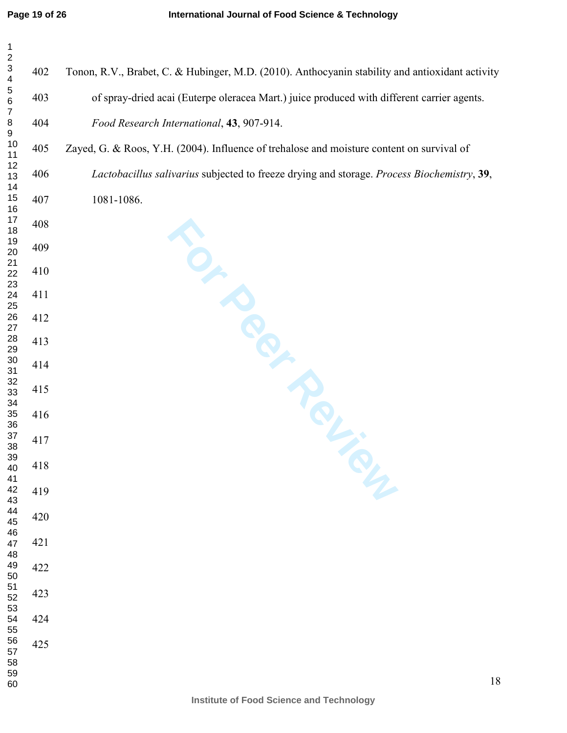| $\mathbf{1}$<br>$\overline{\mathbf{c}}$ |     |                                                                                                 |
|-----------------------------------------|-----|-------------------------------------------------------------------------------------------------|
| $\mathbf{3}$<br>$\overline{\mathbf{4}}$ | 402 | Tonon, R.V., Brabet, C. & Hubinger, M.D. (2010). Anthocyanin stability and antioxidant activity |
| $\frac{5}{6}$<br>$\boldsymbol{7}$       | 403 | of spray-dried acai (Euterpe oleracea Mart.) juice produced with different carrier agents.      |
| $\bf 8$<br>$\boldsymbol{9}$             | 404 | Food Research International, 43, 907-914.                                                       |
| $10$<br>11                              | 405 | Zayed, G. & Roos, Y.H. (2004). Influence of trehalose and moisture content on survival of       |
| 12<br>13<br>14                          | 406 | Lactobacillus salivarius subjected to freeze drying and storage. Process Biochemistry, 39,      |
| $15\,$<br>16                            | 407 | 1081-1086.                                                                                      |
| $17$<br>$18\,$<br>19                    | 408 |                                                                                                 |
| $20\,$<br>21                            | 409 | $O_{\mu}$                                                                                       |
| 22<br>23                                | 410 |                                                                                                 |
| 24<br>25                                | 411 |                                                                                                 |
| ${\bf 26}$<br>27<br>${\bf 28}$          | 412 |                                                                                                 |
| 29<br>$30\,$                            | 413 |                                                                                                 |
| 31<br>32                                | 414 |                                                                                                 |
| 33<br>34                                | 415 |                                                                                                 |
| $35\,$<br>36<br>37                      | 416 |                                                                                                 |
| 38<br>$39\,$                            | 417 |                                                                                                 |
| 40<br>41                                | 418 |                                                                                                 |
| 42<br>43<br>44                          | 419 |                                                                                                 |
| 45<br>46                                | 420 |                                                                                                 |
| 47<br>48                                | 421 |                                                                                                 |
| 49                                      | 422 |                                                                                                 |
| 50<br>51<br>52<br>53                    | 423 |                                                                                                 |
| 54<br>55                                | 424 |                                                                                                 |
| 56<br>57                                | 425 |                                                                                                 |
| 58<br>59<br>60                          |     | $18\,$                                                                                          |
|                                         |     |                                                                                                 |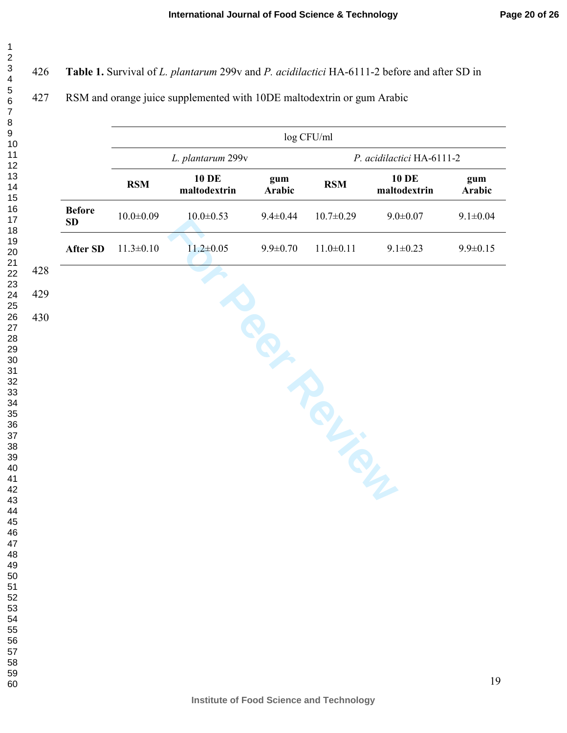# **Table 1.** Survival of *L. plantarum* 299v and *P. acidilactici* HA-6111-2 before and after SD in

# 427 RSM and orange juice supplemented with 10DE maltodextrin or gum Arabic

|                     |                 |                              |                | log CFU/ml      |                              |                |
|---------------------|-----------------|------------------------------|----------------|-----------------|------------------------------|----------------|
|                     |                 | L. plantarum 299v            |                |                 | P. acidilactici HA-6111-2    |                |
|                     | <b>RSM</b>      | <b>10 DE</b><br>maltodextrin | gum<br>Arabic  | <b>RSM</b>      | <b>10 DE</b><br>maltodextrin | gum<br>Arabic  |
| <b>Before</b><br>SD | $10.0 \pm 0.09$ | $10.0 \pm 0.53$              | $9.4 \pm 0.44$ | $10.7 \pm 0.29$ | $9.0 \pm 0.07$               | $9.1 \pm 0.04$ |
| After SD            | $11.3 \pm 0.10$ | $11.2 \pm 0.05$              | $9.9 \pm 0.70$ | $11.0 \pm 0.11$ | $9.1 \pm 0.23$               | $9.9 \pm 0.15$ |
|                     |                 |                              |                |                 |                              |                |
|                     |                 |                              |                |                 |                              |                |
|                     |                 |                              |                |                 |                              |                |
|                     |                 |                              |                |                 |                              |                |
|                     |                 |                              |                |                 |                              |                |
|                     |                 |                              |                | TOL.            |                              |                |
|                     |                 |                              |                |                 |                              |                |
|                     |                 |                              |                |                 |                              |                |
|                     |                 |                              |                |                 |                              |                |
|                     |                 |                              |                |                 |                              |                |
|                     |                 |                              |                |                 |                              |                |
|                     |                 |                              |                |                 |                              |                |
|                     |                 |                              |                |                 |                              |                |
|                     |                 |                              |                |                 |                              |                |
|                     |                 |                              |                |                 |                              |                |
|                     |                 |                              |                |                 |                              | 19             |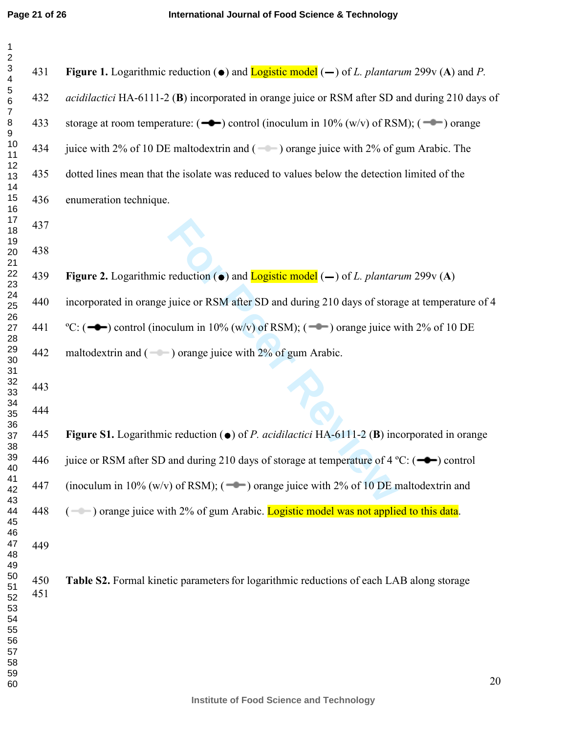| $\mathbf{1}$<br>$\overline{\mathbf{c}}$              |            |                                                                                                                                                |    |
|------------------------------------------------------|------------|------------------------------------------------------------------------------------------------------------------------------------------------|----|
| $\ensuremath{\mathsf{3}}$<br>$\overline{\mathbf{4}}$ | 431        | <b>Figure 1.</b> Logarithmic reduction ( $\bullet$ ) and <b>Logistic model</b> ( $\rightarrow$ ) of <i>L. plantarum</i> 299v (A) and <i>P.</i> |    |
| 5<br>$\,6$<br>$\overline{7}$                         | 432        | acidilactici HA-6111-2 (B) incorporated in orange juice or RSM after SD and during 210 days of                                                 |    |
| $\bf 8$<br>$\boldsymbol{9}$                          | 433        | storage at room temperature: $(\rightarrow\rightarrow)$ control (inoculum in 10% (w/v) of RSM); $(\rightarrow\rightarrow)$ orange              |    |
| 10<br>11                                             | 434        | juice with 2% of 10 DE maltodextrin and $($ — $)$ orange juice with 2% of gum Arabic. The                                                      |    |
| 12<br>13<br>14                                       | 435        | dotted lines mean that the isolate was reduced to values below the detection limited of the                                                    |    |
| 15<br>16                                             | 436        | enumeration technique.                                                                                                                         |    |
| 17<br>18                                             | 437        |                                                                                                                                                |    |
| 19<br>20<br>21                                       | 438        |                                                                                                                                                |    |
| 22<br>23                                             | 439        | <b>Figure 2.</b> Logarithmic reduction ( $\bullet$ ) and <b>Logistic model</b> ( $\rightarrow$ ) of <i>L. plantarum</i> 299v (A)               |    |
| 24<br>25<br>26                                       | 440        | incorporated in orange juice or RSM after SD and during 210 days of storage at temperature of 4                                                |    |
| 27<br>28                                             | 441        | °C: ( $\rightarrow$ ) control (inoculum in 10% (w/v) of RSM); ( $\rightarrow$ ) orange juice with 2% of 10 DE                                  |    |
| 29<br>30<br>31                                       | 442        | maltodextrin and $($ $)$ orange juice with 2% of gum Arabic.                                                                                   |    |
| 32<br>33                                             | 443        |                                                                                                                                                |    |
| 34<br>35<br>36                                       | 444        |                                                                                                                                                |    |
| 37<br>38                                             | 445        | Figure S1. Logarithmic reduction ( $\bullet$ ) of <i>P. acidilactici</i> HA-6111-2 ( <b>B</b> ) incorporated in orange                         |    |
| 39<br>40                                             | 446        | juice or RSM after SD and during 210 days of storage at temperature of 4 °C: $($ $\rightarrow$ $)$ control                                     |    |
| 41<br>42<br>43                                       | 447        | (inoculum in 10% (w/v) of RSM); $($ $\bullet$ $\bullet$ ) orange juice with 2% of 10 DE maltodextrin and                                       |    |
| 44<br>45<br>46                                       | 448        | $($ $\blacksquare$ ) orange juice with 2% of gum Arabic. Logistic model was not applied to this data.                                          |    |
| 47<br>48<br>49                                       | 449        |                                                                                                                                                |    |
| 50<br>51<br>52<br>53<br>54<br>55<br>56<br>57<br>58   | 450<br>451 | Table S2. Formal kinetic parameters for logarithmic reductions of each LAB along storage                                                       |    |
| 59<br>60                                             |            |                                                                                                                                                | 20 |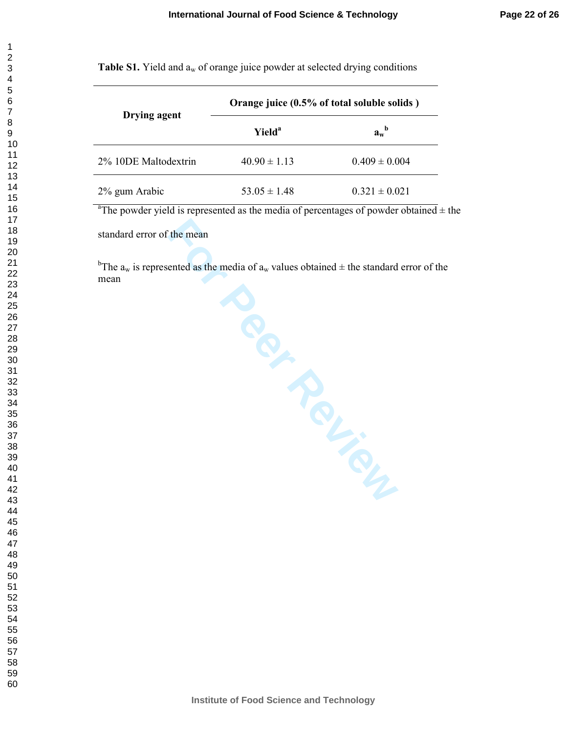| 1                    |
|----------------------|
| 2                    |
|                      |
|                      |
|                      |
|                      |
|                      |
|                      |
|                      |
|                      |
|                      |
|                      |
|                      |
|                      |
|                      |
|                      |
|                      |
|                      |
|                      |
|                      |
|                      |
|                      |
|                      |
|                      |
|                      |
|                      |
|                      |
|                      |
|                      |
|                      |
|                      |
|                      |
|                      |
|                      |
|                      |
|                      |
|                      |
|                      |
|                      |
|                      |
|                      |
|                      |
|                      |
|                      |
| 40                   |
| 41                   |
|                      |
| 4:                   |
| $\overline{4}$       |
| 44                   |
| 45                   |
| 46                   |
| 47                   |
| 48<br>$\mathbf{3}$   |
| 49                   |
|                      |
| 50                   |
| 5<br>1               |
| 52<br>$\overline{ }$ |
| E<br>X<br>3          |
| 54                   |
| 55                   |
|                      |
| 56<br>ć              |
| 57                   |
| 58                   |
| 59                   |
| 60                   |

**Table S1.** Yield and  $a_w$  of orange juice powder at selected drying conditions

| Drying agent         | Orange juice (0.5% of total soluble solids) |                   |  |  |
|----------------------|---------------------------------------------|-------------------|--|--|
|                      | Yield <sup>a</sup>                          | $a_w^b$           |  |  |
| 2% 10DE Maltodextrin | $40.90 \pm 1.13$                            | $0.409 \pm 0.004$ |  |  |
| 2% gum Arabic        | $53.05 \pm 1.48$                            | $0.321 \pm 0.021$ |  |  |

<sup>a</sup>The powder yield is represented as the media of percentages of powder obtained  $\pm$  the

standard error of the mean

a of a<sub>w</sub> value <sup>b</sup>The  $a_w$  is represented as the media of  $a_w$  values obtained  $\pm$  the standard error of the mean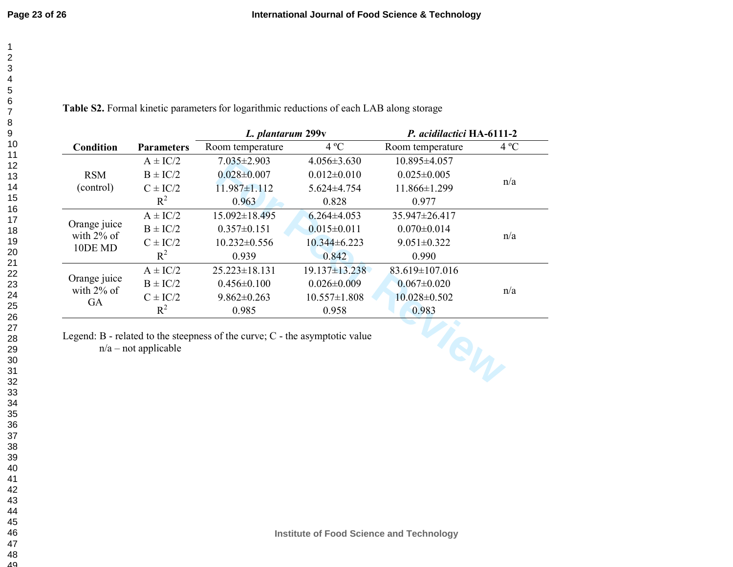|                               |                        | L. plantarum 299v                                                               |                     | P. acidilactici HA-6111-2 |              |
|-------------------------------|------------------------|---------------------------------------------------------------------------------|---------------------|---------------------------|--------------|
| <b>Condition</b>              | <b>Parameters</b>      | Room temperature                                                                | $4^{\circ}C$        | Room temperature          | $4^{\circ}C$ |
|                               | $A \pm IC/2$           | $7.035 \pm 2.903$                                                               | $4.056 \pm 3.630$   | $10.895 \pm 4.057$        |              |
| <b>RSM</b>                    | $B \pm IC/2$           | $0.028 \pm 0.007$                                                               | $0.012 \pm 0.010$   | $0.025 \pm 0.005$         | n/a          |
| (control)                     | $C \pm IC/2$           | $11.987 \pm 1.112$                                                              | 5.624±4.754         | 11.866±1.299              |              |
|                               | $R^2$                  | 0.963                                                                           | 0.828               | 0.977                     |              |
|                               | $A \pm IC/2$           | $15.092 \pm 18.495$                                                             | $6.264\pm4.053$     | 35.947±26.417             |              |
| Orange juice                  | $B \pm IC/2$           | $0.357 \pm 0.151$                                                               | $0.015 \pm 0.011$   | $0.070 \pm 0.014$         | n/a          |
| with $2\%$ of<br>10DE MD      | $C \pm IC/2$           | $10.232 \pm 0.556$                                                              | $10.344\pm 6.223$   | $9.051 \pm 0.322$         |              |
|                               | $R^2$                  | 0.939                                                                           | 0.842               | 0.990                     |              |
|                               | $A \pm IC/2$           | $25.223 \pm 18.131$                                                             | $19.137 \pm 13.238$ | 83.619±107.016            | n/a          |
| Orange juice<br>with $2\%$ of | $B \pm IC/2$           | $0.456 \pm 0.100$                                                               | $0.026 \pm 0.009$   | $0.067 \pm 0.020$         |              |
| GA                            | $C \pm IC/2$           | $9.862 \pm 0.263$                                                               | $10.557 \pm 1.808$  | $10.028 \pm 0.502$        |              |
|                               | $R^2$                  | 0.985                                                                           | 0.958               | 0.983                     |              |
|                               | $n/a$ – not applicable | Legend: $B$ - related to the steepness of the curve; $C$ - the asymptotic value |                     |                           |              |

Table S2. Formal kinetic parameters for logarithmic reductions of each LAB along storage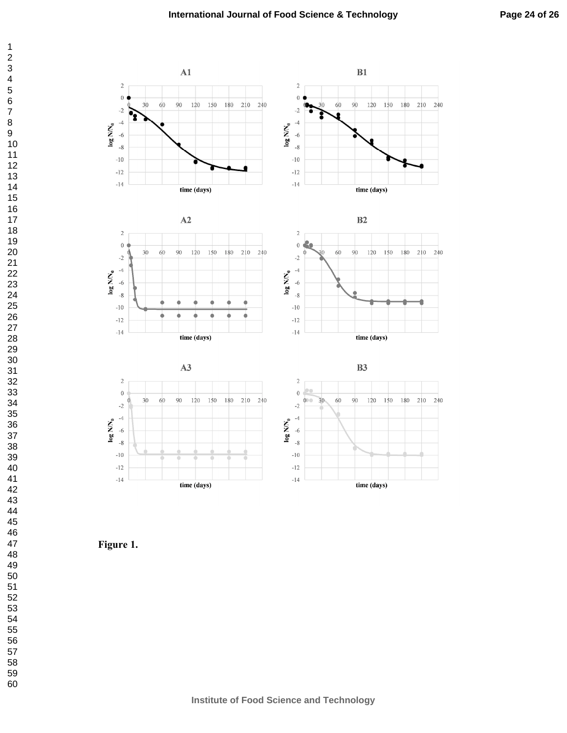

**Figure 1.**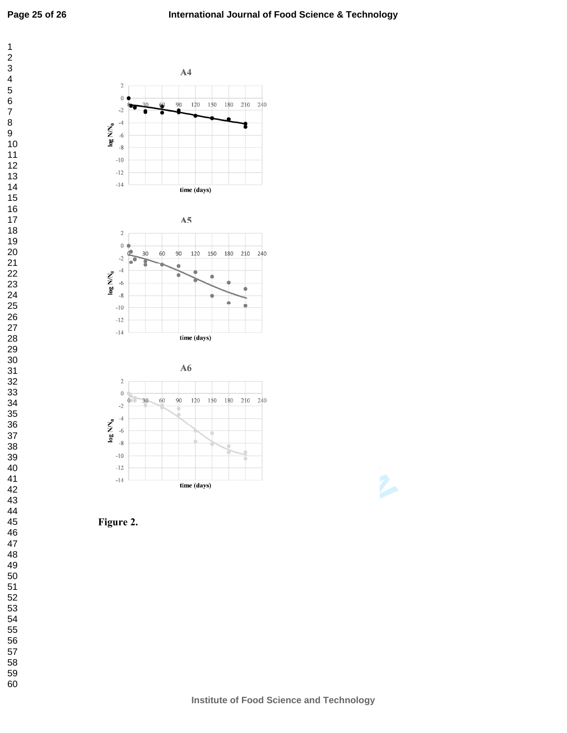